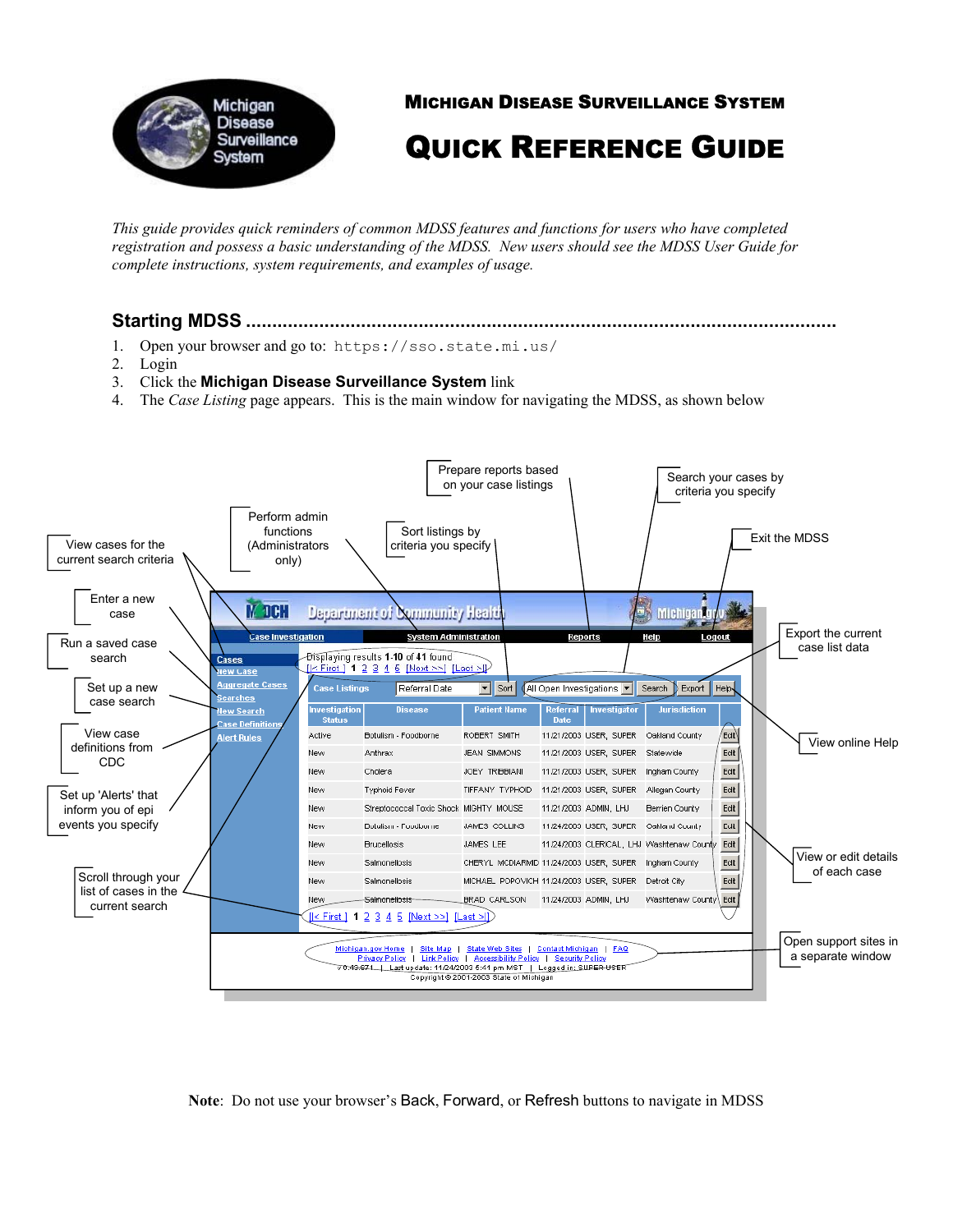

MICHIGAN DISEASE SURVEILLANCE SYSTEM

QUICK REFERENCE GUIDE

*This guide provides quick reminders of common MDSS features and functions for users who have completed registration and possess a basic understanding of the MDSS. New users should see the MDSS User Guide for complete instructions, system requirements, and examples of usage.* 

## **Starting MDSS .................................................................................................................**

- 1. Open your browser and go to: https://sso.state.mi.us/
- 2. Login
- 3. Click the **Michigan Disease Surveillance System** link
- 4. The *Case Listing* page appears. This is the main window for navigating the MDSS, as shown below



**Note**: Do not use your browser's Back, Forward, or Refresh buttons to navigate in MDSS